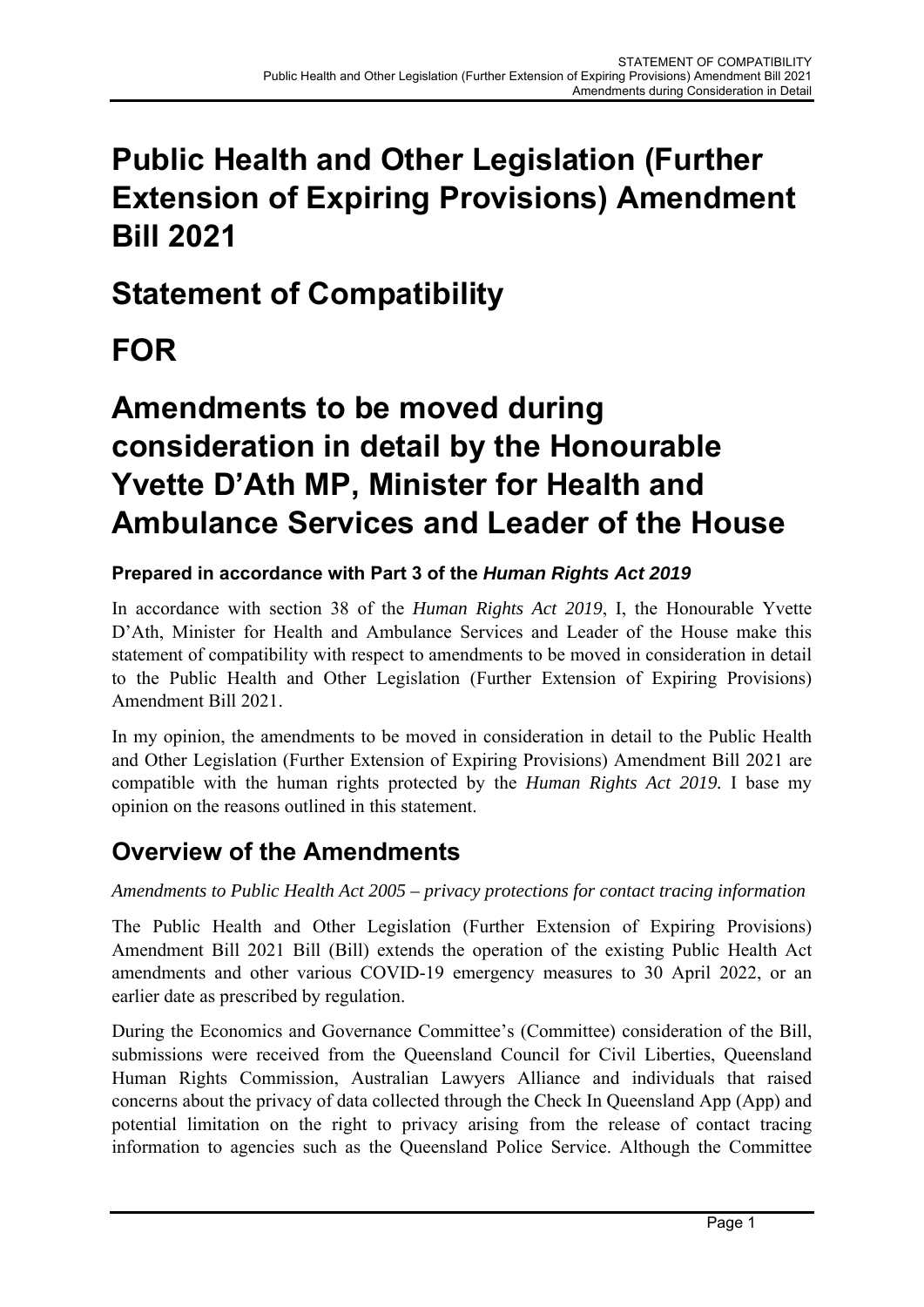## **Public Health and Other Legislation (Further Extension of Expiring Provisions) Amendment Bill 2021**

## **Statement of Compatibility**

# **FOR**

## **Amendments to be moved during consideration in detail by the Honourable Yvette D'Ath MP, Minister for Health and Ambulance Services and Leader of the House**

### **Prepared in accordance with Part 3 of the** *Human Rights Act 2019*

In accordance with section 38 of the *Human Rights Act 2019*, I, the Honourable Yvette D'Ath, Minister for Health and Ambulance Services and Leader of the House make this statement of compatibility with respect to amendments to be moved in consideration in detail to the Public Health and Other Legislation (Further Extension of Expiring Provisions) Amendment Bill 2021.

In my opinion, the amendments to be moved in consideration in detail to the Public Health and Other Legislation (Further Extension of Expiring Provisions) Amendment Bill 2021 are compatible with the human rights protected by the *Human Rights Act 2019.* I base my opinion on the reasons outlined in this statement.

### **Overview of the Amendments**

*Amendments to Public Health Act 2005 – privacy protections for contact tracing information* 

The Public Health and Other Legislation (Further Extension of Expiring Provisions) Amendment Bill 2021 Bill (Bill) extends the operation of the existing Public Health Act amendments and other various COVID-19 emergency measures to 30 April 2022, or an earlier date as prescribed by regulation.

During the Economics and Governance Committee's (Committee) consideration of the Bill, submissions were received from the Queensland Council for Civil Liberties, Queensland Human Rights Commission, Australian Lawyers Alliance and individuals that raised concerns about the privacy of data collected through the Check In Queensland App (App) and potential limitation on the right to privacy arising from the release of contact tracing information to agencies such as the Queensland Police Service. Although the Committee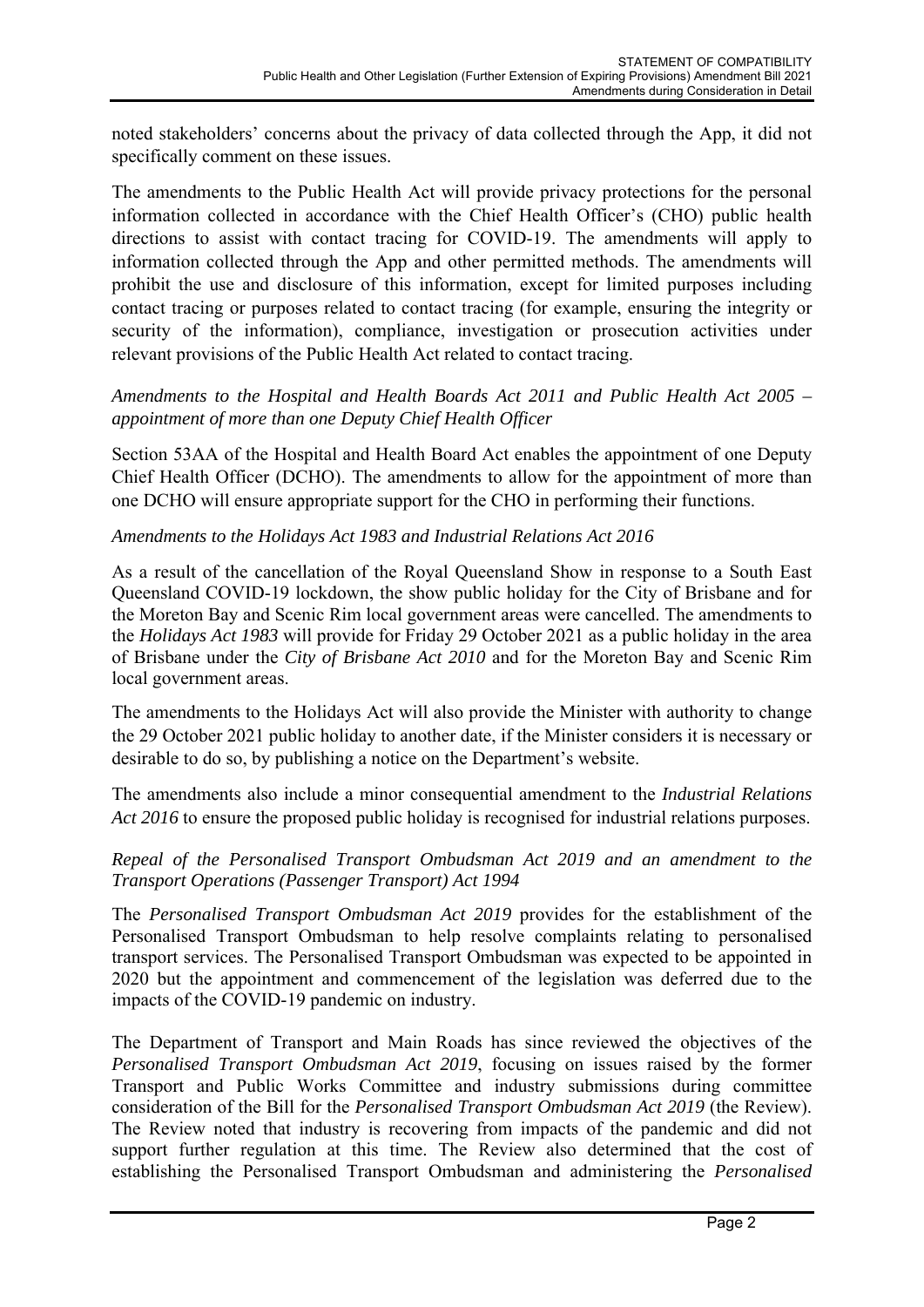noted stakeholders' concerns about the privacy of data collected through the App, it did not specifically comment on these issues.

The amendments to the Public Health Act will provide privacy protections for the personal information collected in accordance with the Chief Health Officer's (CHO) public health directions to assist with contact tracing for COVID-19. The amendments will apply to information collected through the App and other permitted methods. The amendments will prohibit the use and disclosure of this information, except for limited purposes including contact tracing or purposes related to contact tracing (for example, ensuring the integrity or security of the information), compliance, investigation or prosecution activities under relevant provisions of the Public Health Act related to contact tracing.

#### *Amendments to the Hospital and Health Boards Act 2011 and Public Health Act 2005 – appointment of more than one Deputy Chief Health Officer*

Section 53AA of the Hospital and Health Board Act enables the appointment of one Deputy Chief Health Officer (DCHO). The amendments to allow for the appointment of more than one DCHO will ensure appropriate support for the CHO in performing their functions.

#### *Amendments to the Holidays Act 1983 and Industrial Relations Act 2016*

As a result of the cancellation of the Royal Queensland Show in response to a South East Queensland COVID-19 lockdown, the show public holiday for the City of Brisbane and for the Moreton Bay and Scenic Rim local government areas were cancelled. The amendments to the *Holidays Act 1983* will provide for Friday 29 October 2021 as a public holiday in the area of Brisbane under the *City of Brisbane Act 2010* and for the Moreton Bay and Scenic Rim local government areas.

The amendments to the Holidays Act will also provide the Minister with authority to change the 29 October 2021 public holiday to another date, if the Minister considers it is necessary or desirable to do so, by publishing a notice on the Department's website.

The amendments also include a minor consequential amendment to the *Industrial Relations Act 2016* to ensure the proposed public holiday is recognised for industrial relations purposes.

#### *Repeal of the Personalised Transport Ombudsman Act 2019 and an amendment to the Transport Operations (Passenger Transport) Act 1994*

The *Personalised Transport Ombudsman Act 2019* provides for the establishment of the Personalised Transport Ombudsman to help resolve complaints relating to personalised transport services. The Personalised Transport Ombudsman was expected to be appointed in 2020 but the appointment and commencement of the legislation was deferred due to the impacts of the COVID-19 pandemic on industry.

The Department of Transport and Main Roads has since reviewed the objectives of the *Personalised Transport Ombudsman Act 2019*, focusing on issues raised by the former Transport and Public Works Committee and industry submissions during committee consideration of the Bill for the *Personalised Transport Ombudsman Act 2019* (the Review). The Review noted that industry is recovering from impacts of the pandemic and did not support further regulation at this time. The Review also determined that the cost of establishing the Personalised Transport Ombudsman and administering the *Personalised*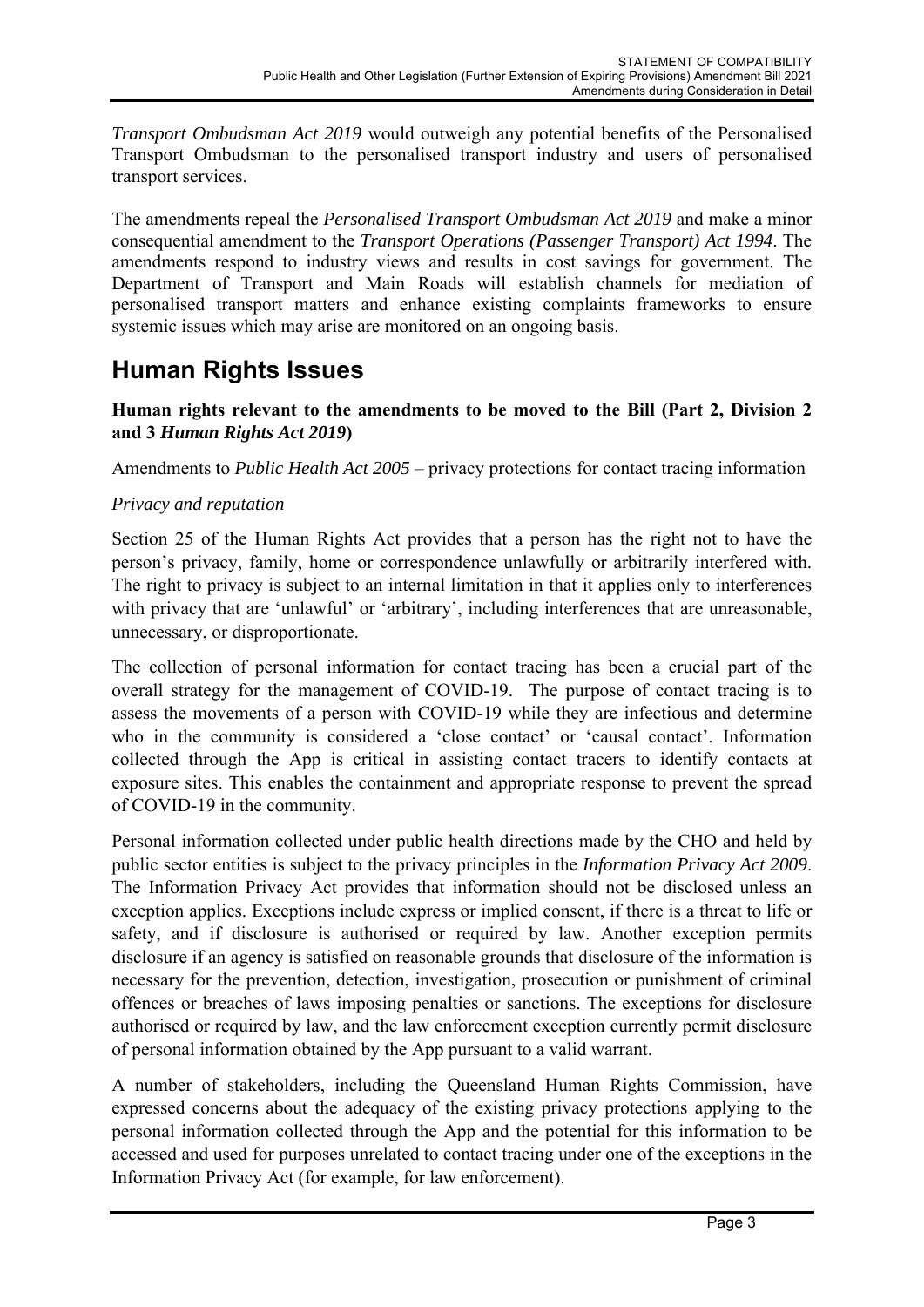*Transport Ombudsman Act 2019* would outweigh any potential benefits of the Personalised Transport Ombudsman to the personalised transport industry and users of personalised transport services.

The amendments repeal the *Personalised Transport Ombudsman Act 2019* and make a minor consequential amendment to the *Transport Operations (Passenger Transport) Act 1994*. The amendments respond to industry views and results in cost savings for government. The Department of Transport and Main Roads will establish channels for mediation of personalised transport matters and enhance existing complaints frameworks to ensure systemic issues which may arise are monitored on an ongoing basis.

### **Human Rights Issues**

**Human rights relevant to the amendments to be moved to the Bill (Part 2, Division 2 and 3** *Human Rights Act 2019***)** 

#### Amendments to *Public Health Act 2005* – privacy protections for contact tracing information

#### *Privacy and reputation*

Section 25 of the Human Rights Act provides that a person has the right not to have the person's privacy, family, home or correspondence unlawfully or arbitrarily interfered with. The right to privacy is subject to an internal limitation in that it applies only to interferences with privacy that are 'unlawful' or 'arbitrary', including interferences that are unreasonable, unnecessary, or disproportionate.

The collection of personal information for contact tracing has been a crucial part of the overall strategy for the management of COVID-19. The purpose of contact tracing is to assess the movements of a person with COVID-19 while they are infectious and determine who in the community is considered a 'close contact' or 'causal contact'. Information collected through the App is critical in assisting contact tracers to identify contacts at exposure sites. This enables the containment and appropriate response to prevent the spread of COVID-19 in the community.

Personal information collected under public health directions made by the CHO and held by public sector entities is subject to the privacy principles in the *Information Privacy Act 2009*. The Information Privacy Act provides that information should not be disclosed unless an exception applies. Exceptions include express or implied consent, if there is a threat to life or safety, and if disclosure is authorised or required by law. Another exception permits disclosure if an agency is satisfied on reasonable grounds that disclosure of the information is necessary for the prevention, detection, investigation, prosecution or punishment of criminal offences or breaches of laws imposing penalties or sanctions. The exceptions for disclosure authorised or required by law, and the law enforcement exception currently permit disclosure of personal information obtained by the App pursuant to a valid warrant.

A number of stakeholders, including the Queensland Human Rights Commission, have expressed concerns about the adequacy of the existing privacy protections applying to the personal information collected through the App and the potential for this information to be accessed and used for purposes unrelated to contact tracing under one of the exceptions in the Information Privacy Act (for example, for law enforcement).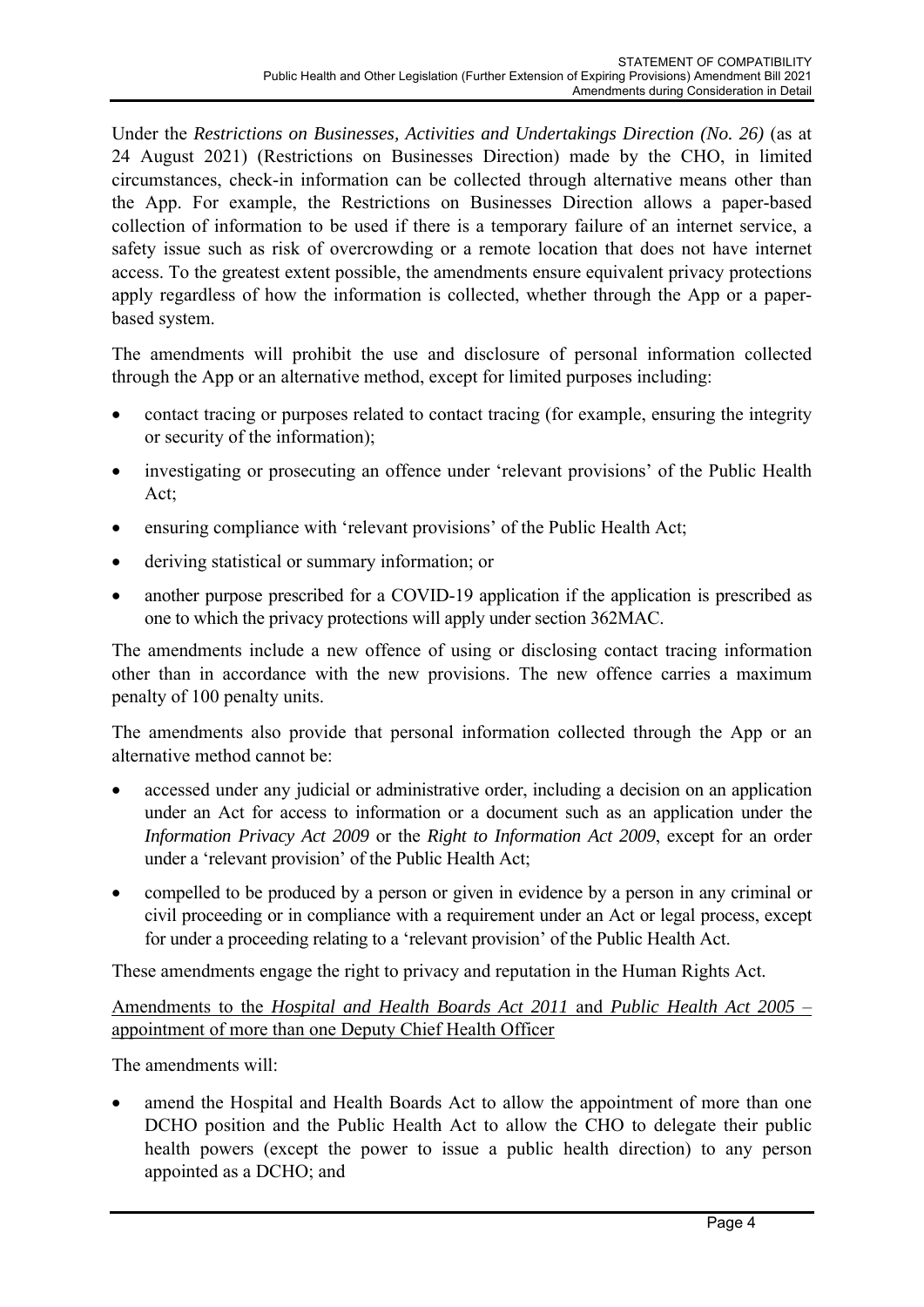Under the *Restrictions on Businesses, Activities and Undertakings Direction (No. 26)* (as at 24 August 2021) (Restrictions on Businesses Direction) made by the CHO, in limited circumstances, check-in information can be collected through alternative means other than the App. For example, the Restrictions on Businesses Direction allows a paper-based collection of information to be used if there is a temporary failure of an internet service, a safety issue such as risk of overcrowding or a remote location that does not have internet access. To the greatest extent possible, the amendments ensure equivalent privacy protections apply regardless of how the information is collected, whether through the App or a paperbased system.

The amendments will prohibit the use and disclosure of personal information collected through the App or an alternative method, except for limited purposes including:

- contact tracing or purposes related to contact tracing (for example, ensuring the integrity or security of the information);
- investigating or prosecuting an offence under 'relevant provisions' of the Public Health Act;
- ensuring compliance with 'relevant provisions' of the Public Health Act;
- deriving statistical or summary information; or
- another purpose prescribed for a COVID-19 application if the application is prescribed as one to which the privacy protections will apply under section 362MAC.

The amendments include a new offence of using or disclosing contact tracing information other than in accordance with the new provisions. The new offence carries a maximum penalty of 100 penalty units.

The amendments also provide that personal information collected through the App or an alternative method cannot be:

- accessed under any judicial or administrative order, including a decision on an application under an Act for access to information or a document such as an application under the *Information Privacy Act 2009* or the *Right to Information Act 2009*, except for an order under a 'relevant provision' of the Public Health Act;
- compelled to be produced by a person or given in evidence by a person in any criminal or civil proceeding or in compliance with a requirement under an Act or legal process, except for under a proceeding relating to a 'relevant provision' of the Public Health Act.

These amendments engage the right to privacy and reputation in the Human Rights Act.

Amendments to the *Hospital and Health Boards Act 2011* and *Public Health Act 2005* – appointment of more than one Deputy Chief Health Officer

The amendments will:

 amend the Hospital and Health Boards Act to allow the appointment of more than one DCHO position and the Public Health Act to allow the CHO to delegate their public health powers (except the power to issue a public health direction) to any person appointed as a DCHO; and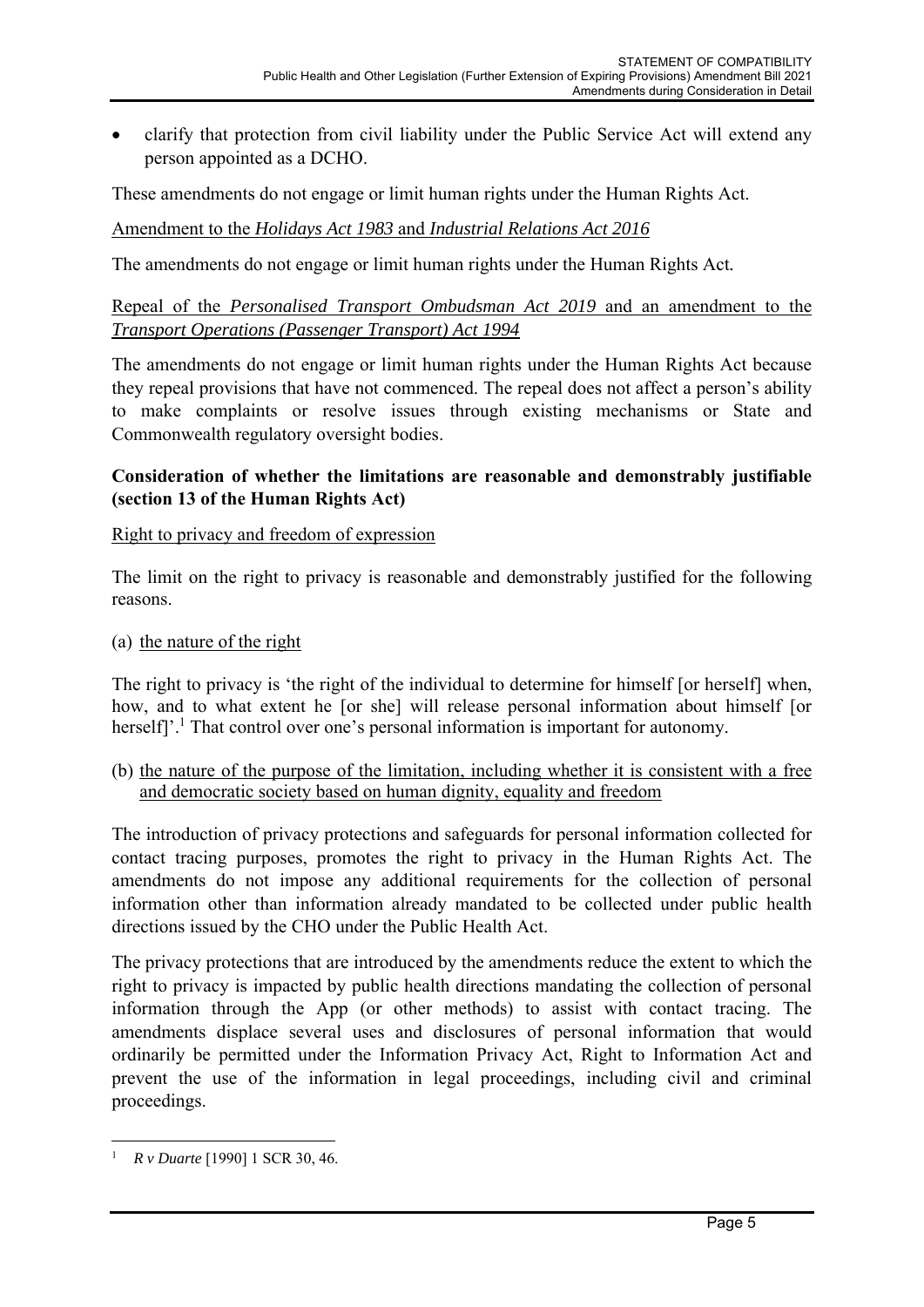clarify that protection from civil liability under the Public Service Act will extend any person appointed as a DCHO.

These amendments do not engage or limit human rights under the Human Rights Act.

Amendment to the *Holidays Act 1983* and *Industrial Relations Act 2016*

The amendments do not engage or limit human rights under the Human Rights Act*.* 

Repeal of the *Personalised Transport Ombudsman Act 2019* and an amendment to the *Transport Operations (Passenger Transport) Act 1994*

The amendments do not engage or limit human rights under the Human Rights Act because they repeal provisions that have not commenced. The repeal does not affect a person's ability to make complaints or resolve issues through existing mechanisms or State and Commonwealth regulatory oversight bodies.

#### **Consideration of whether the limitations are reasonable and demonstrably justifiable (section 13 of the Human Rights Act)**

#### Right to privacy and freedom of expression

The limit on the right to privacy is reasonable and demonstrably justified for the following reasons.

(a) the nature of the right

The right to privacy is 'the right of the individual to determine for himself [or herself] when, how, and to what extent he [or she] will release personal information about himself [or herself]'.<sup>1</sup> That control over one's personal information is important for autonomy.

(b) the nature of the purpose of the limitation, including whether it is consistent with a free and democratic society based on human dignity, equality and freedom

The introduction of privacy protections and safeguards for personal information collected for contact tracing purposes, promotes the right to privacy in the Human Rights Act. The amendments do not impose any additional requirements for the collection of personal information other than information already mandated to be collected under public health directions issued by the CHO under the Public Health Act.

The privacy protections that are introduced by the amendments reduce the extent to which the right to privacy is impacted by public health directions mandating the collection of personal information through the App (or other methods) to assist with contact tracing. The amendments displace several uses and disclosures of personal information that would ordinarily be permitted under the Information Privacy Act, Right to Information Act and prevent the use of the information in legal proceedings, including civil and criminal proceedings.

<sup>1</sup> *R v Duarte* [1990] 1 SCR 30, 46.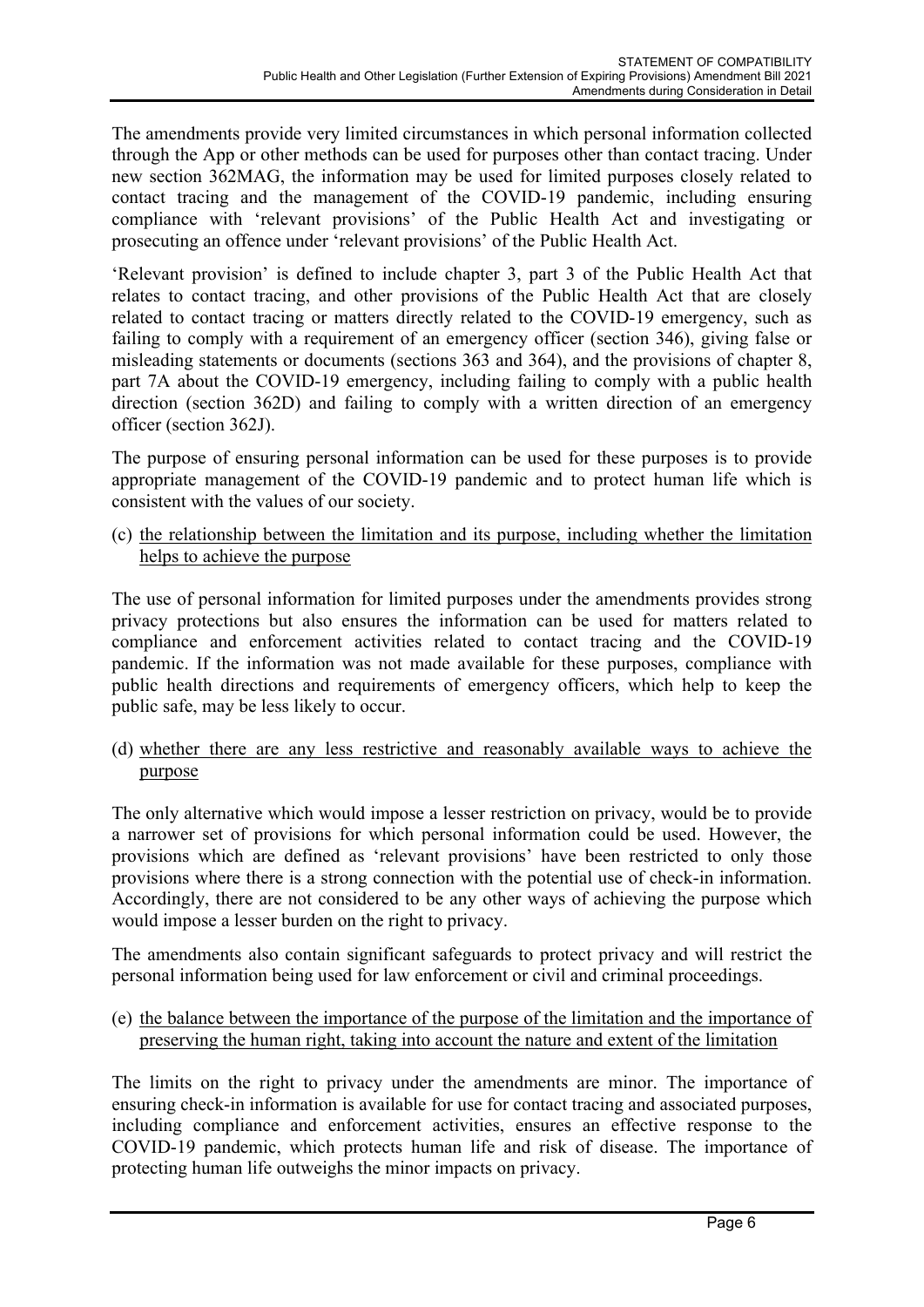The amendments provide very limited circumstances in which personal information collected through the App or other methods can be used for purposes other than contact tracing. Under new section 362MAG, the information may be used for limited purposes closely related to contact tracing and the management of the COVID-19 pandemic, including ensuring compliance with 'relevant provisions' of the Public Health Act and investigating or prosecuting an offence under 'relevant provisions' of the Public Health Act.

'Relevant provision' is defined to include chapter 3, part 3 of the Public Health Act that relates to contact tracing, and other provisions of the Public Health Act that are closely related to contact tracing or matters directly related to the COVID-19 emergency, such as failing to comply with a requirement of an emergency officer (section 346), giving false or misleading statements or documents (sections 363 and 364), and the provisions of chapter 8, part 7A about the COVID-19 emergency, including failing to comply with a public health direction (section 362D) and failing to comply with a written direction of an emergency officer (section 362J).

The purpose of ensuring personal information can be used for these purposes is to provide appropriate management of the COVID-19 pandemic and to protect human life which is consistent with the values of our society.

(c) the relationship between the limitation and its purpose, including whether the limitation helps to achieve the purpose

The use of personal information for limited purposes under the amendments provides strong privacy protections but also ensures the information can be used for matters related to compliance and enforcement activities related to contact tracing and the COVID-19 pandemic. If the information was not made available for these purposes, compliance with public health directions and requirements of emergency officers, which help to keep the public safe, may be less likely to occur.

(d) whether there are any less restrictive and reasonably available ways to achieve the purpose

The only alternative which would impose a lesser restriction on privacy, would be to provide a narrower set of provisions for which personal information could be used. However, the provisions which are defined as 'relevant provisions' have been restricted to only those provisions where there is a strong connection with the potential use of check-in information. Accordingly, there are not considered to be any other ways of achieving the purpose which would impose a lesser burden on the right to privacy.

The amendments also contain significant safeguards to protect privacy and will restrict the personal information being used for law enforcement or civil and criminal proceedings.

(e) the balance between the importance of the purpose of the limitation and the importance of preserving the human right, taking into account the nature and extent of the limitation

The limits on the right to privacy under the amendments are minor. The importance of ensuring check-in information is available for use for contact tracing and associated purposes, including compliance and enforcement activities, ensures an effective response to the COVID-19 pandemic, which protects human life and risk of disease. The importance of protecting human life outweighs the minor impacts on privacy.